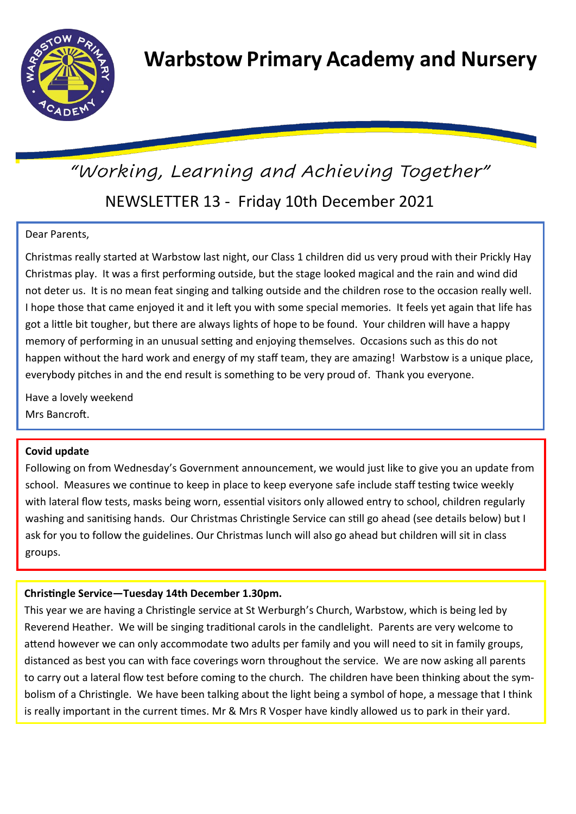

# NEWSLETTER 13 - Friday 10th December 2021 *"Working, Learning and Achieving Together"*

# Dear Parents,

Christmas really started at Warbstow last night, our Class 1 children did us very proud with their Prickly Hay Christmas play. It was a first performing outside, but the stage looked magical and the rain and wind did not deter us. It is no mean feat singing and talking outside and the children rose to the occasion really well. I hope those that came enjoyed it and it left you with some special memories. It feels yet again that life has got a little bit tougher, but there are always lights of hope to be found. Your children will have a happy memory of performing in an unusual setting and enjoying themselves. Occasions such as this do not happen without the hard work and energy of my staff team, they are amazing! Warbstow is a unique place, everybody pitches in and the end result is something to be very proud of. Thank you everyone.

Have a lovely weekend Mrs Bancroft.

## **Covid update**

Following on from Wednesday's Government announcement, we would just like to give you an update from school. Measures we continue to keep in place to keep everyone safe include staff testing twice weekly with lateral flow tests, masks being worn, essential visitors only allowed entry to school, children regularly washing and sanitising hands. Our Christmas Christingle Service can still go ahead (see details below) but I ask for you to follow the guidelines. Our Christmas lunch will also go ahead but children will sit in class groups.

# **Christingle Service—Tuesday 14th December 1.30pm.**

This year we are having a Christingle service at St Werburgh's Church, Warbstow, which is being led by Reverend Heather. We will be singing traditional carols in the candlelight. Parents are very welcome to attend however we can only accommodate two adults per family and you will need to sit in family groups, distanced as best you can with face coverings worn throughout the service. We are now asking all parents to carry out a lateral flow test before coming to the church. The children have been thinking about the symbolism of a Christingle. We have been talking about the light being a symbol of hope, a message that I think is really important in the current times. Mr & Mrs R Vosper have kindly allowed us to park in their yard.